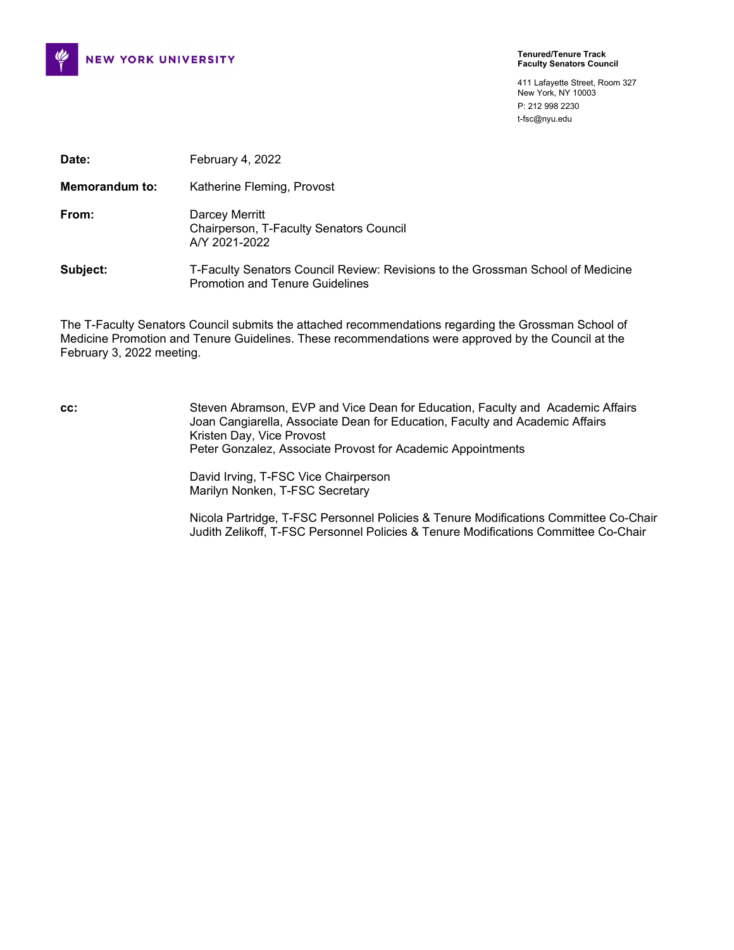

**Tenured/Tenure Track Faculty Senators Council**

411 Lafayette Street, Room 327 New York, NY 10003 P: 212 998 2230 t-fsc@nyu.edu

| Date:                 | February 4, 2022                                                                                                          |
|-----------------------|---------------------------------------------------------------------------------------------------------------------------|
| <b>Memorandum to:</b> | Katherine Fleming, Provost                                                                                                |
| From:                 | Darcey Merritt<br>Chairperson, T-Faculty Senators Council<br>A/Y 2021-2022                                                |
| Subject:              | T-Faculty Senators Council Review: Revisions to the Grossman School of Medicine<br><b>Promotion and Tenure Guidelines</b> |

The T-Faculty Senators Council submits the attached recommendations regarding the Grossman School of Medicine Promotion and Tenure Guidelines. These recommendations were approved by the Council at the February 3, 2022 meeting.

**cc:** Steven Abramson, EVP and Vice Dean for Education, Faculty and Academic Affairs Joan Cangiarella, Associate Dean for Education, Faculty and Academic Affairs Kristen Day, Vice Provost Peter Gonzalez, Associate Provost for Academic Appointments

> David Irving, T-FSC Vice Chairperson Marilyn Nonken, T-FSC Secretary

Nicola Partridge, T-FSC Personnel Policies & Tenure Modifications Committee Co-Chair Judith Zelikoff, T-FSC Personnel Policies & Tenure Modifications Committee Co-Chair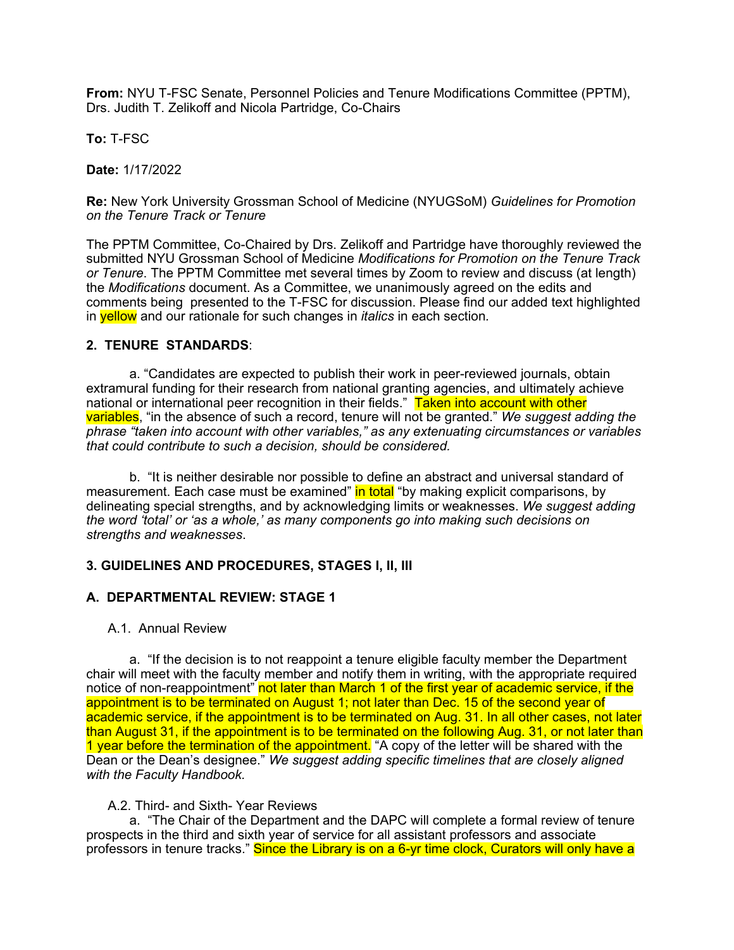**From:** NYU T-FSC Senate, Personnel Policies and Tenure Modifications Committee (PPTM), Drs. Judith T. Zelikoff and Nicola Partridge, Co-Chairs

**To:** T-FSC

**Date:** 1/17/2022

**Re:** New York University Grossman School of Medicine (NYUGSoM) *Guidelines for Promotion on the Tenure Track or Tenure*

The PPTM Committee, Co-Chaired by Drs. Zelikoff and Partridge have thoroughly reviewed the submitted NYU Grossman School of Medicine *Modifications for Promotion on the Tenure Track or Tenure*. The PPTM Committee met several times by Zoom to review and discuss (at length) the *Modifications* document. As a Committee, we unanimously agreed on the edits and comments being presented to the T-FSC for discussion. Please find our added text highlighted in yellow and our rationale for such changes in *italics* in each section*.*

#### **2. TENURE STANDARDS**:

a. "Candidates are expected to publish their work in peer-reviewed journals, obtain extramural funding for their research from national granting agencies, and ultimately achieve national or international peer recognition in their fields." Taken into account with other variables, "in the absence of such a record, tenure will not be granted." *We suggest adding the phrase "taken into account with other variables," as any extenuating circumstances or variables that could contribute to such a decision, should be considered.*

b. "It is neither desirable nor possible to define an abstract and universal standard of measurement. Each case must be examined" in total "by making explicit comparisons, by delineating special strengths, and by acknowledging limits or weaknesses. *We suggest adding the word 'total' or 'as a whole,' as many components go into making such decisions on strengths and weaknesses*.

#### **3. GUIDELINES AND PROCEDURES, STAGES I, II, III**

#### **A. DEPARTMENTAL REVIEW: STAGE 1**

#### A.1. Annual Review

a. "If the decision is to not reappoint a tenure eligible faculty member the Department chair will meet with the faculty member and notify them in writing, with the appropriate required notice of non-reappointment" not later than March 1 of the first year of academic service, if the appointment is to be terminated on August 1; not later than Dec. 15 of the second year of academic service, if the appointment is to be terminated on Aug. 31. In all other cases, not later than August 31, if the appointment is to be terminated on the following Aug. 31, or not later than 1 year before the termination of the appointment. "A copy of the letter will be shared with the Dean or the Dean's designee." *We suggest adding specific timelines that are closely aligned with the Faculty Handbook.*

#### A.2. Third- and Sixth- Year Reviews

a. "The Chair of the Department and the DAPC will complete a formal review of tenure prospects in the third and sixth year of service for all assistant professors and associate professors in tenure tracks." Since the Library is on a 6-yr time clock, Curators will only have a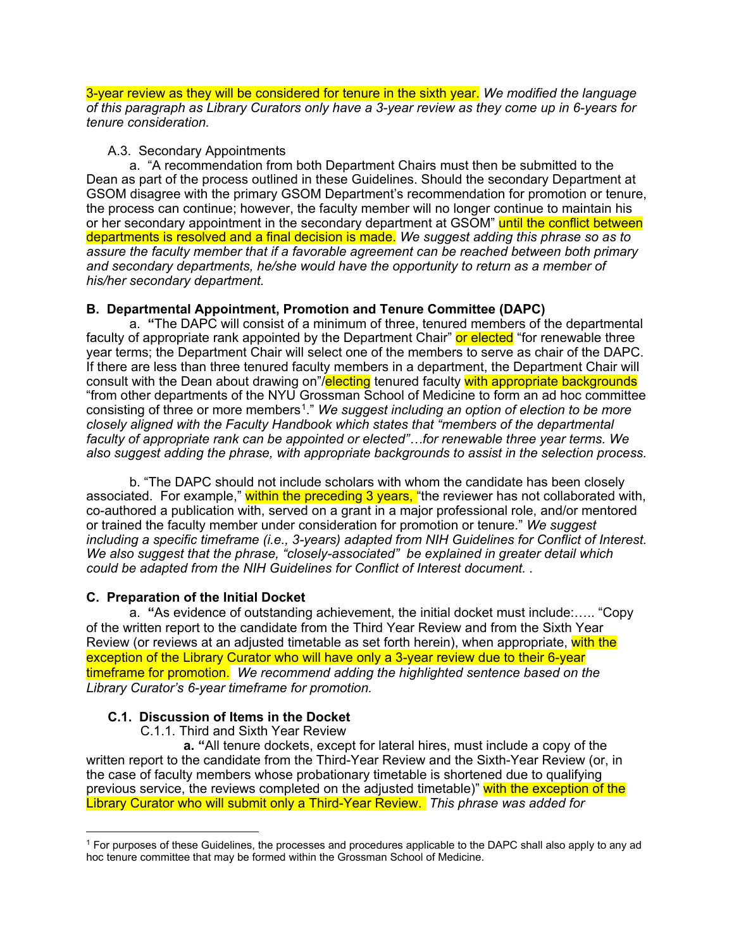3-year review as they will be considered for tenure in the sixth year. *We modified the language of this paragraph as Library Curators only have a 3-year review as they come up in 6-years for tenure consideration.* 

### A.3. Secondary Appointments

a. "A recommendation from both Department Chairs must then be submitted to the Dean as part of the process outlined in these Guidelines. Should the secondary Department at GSOM disagree with the primary GSOM Department's recommendation for promotion or tenure, the process can continue; however, the faculty member will no longer continue to maintain his or her secondary appointment in the secondary department at GSOM" until the conflict between departments is resolved and a final decision is made. *We suggest adding this phrase so as to assure the faculty member that if a favorable agreement can be reached between both primary and secondary departments, he/she would have the opportunity to return as a member of his/her secondary department.*

# **B. Departmental Appointment, Promotion and Tenure Committee (DAPC)**

a. **"**The DAPC will consist of a minimum of three, tenured members of the departmental faculty of appropriate rank appointed by the Department Chair" or elected "for renewable three year terms; the Department Chair will select one of the members to serve as chair of the DAPC. If there are less than three tenured faculty members in a department, the Department Chair will consult with the Dean about drawing on"/electing tenured faculty with appropriate backgrounds "from other departments of the NYU Grossman School of Medicine to form an ad hoc committee consisting of three or more members[1](#page-2-0)." *We suggest including an option of election to be more closely aligned with the Faculty Handbook which states that "members of the departmental faculty of appropriate rank can be appointed or elected"…for renewable three year terms. We also suggest adding the phrase, with appropriate backgrounds to assist in the selection process.* 

b. "The DAPC should not include scholars with whom the candidate has been closely associated. For example," within the preceding 3 years, "the reviewer has not collaborated with, co-authored a publication with, served on a grant in a major professional role, and/or mentored or trained the faculty member under consideration for promotion or tenure." *We suggest including a specific timeframe (i.e., 3-years) adapted from NIH Guidelines for Conflict of Interest. We also suggest that the phrase, "closely-associated" be explained in greater detail which could be adapted from the NIH Guidelines for Conflict of Interest document. .*

# **C. Preparation of the Initial Docket**

a. **"**As evidence of outstanding achievement, the initial docket must include:….. "Copy of the written report to the candidate from the Third Year Review and from the Sixth Year Review (or reviews at an adjusted timetable as set forth herein), when appropriate, with the exception of the Library Curator who will have only a 3-year review due to their 6-year timeframe for promotion. *We recommend adding the highlighted sentence based on the Library Curator's 6-year timeframe for promotion.* 

# **C.1. Discussion of Items in the Docket**

C.1.1. Third and Sixth Year Review

 **a. "**All tenure dockets, except for lateral hires, must include a copy of the written report to the candidate from the Third-Year Review and the Sixth-Year Review (or, in the case of faculty members whose probationary timetable is shortened due to qualifying previous service, the reviews completed on the adjusted timetable)" with the exception of the Library Curator who will submit only a Third-Year Review. *This phrase was added for* 

<span id="page-2-0"></span><sup>1</sup> For purposes of these Guidelines, the processes and procedures applicable to the DAPC shall also apply to any ad hoc tenure committee that may be formed within the Grossman School of Medicine.